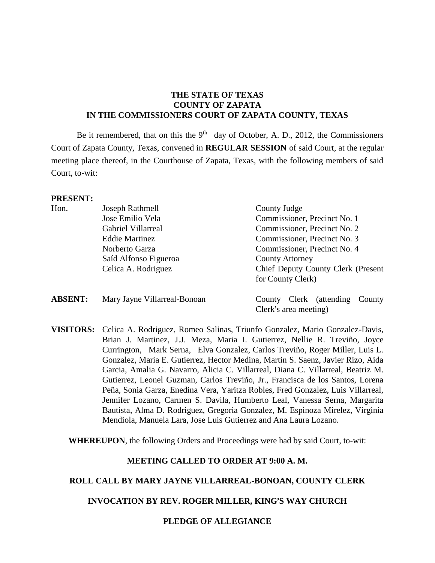# **THE STATE OF TEXAS COUNTY OF ZAPATA IN THE COMMISSIONERS COURT OF ZAPATA COUNTY, TEXAS**

Be it remembered, that on this the  $9<sup>th</sup>$  day of October, A. D., 2012, the Commissioners Court of Zapata County, Texas, convened in **REGULAR SESSION** of said Court, at the regular meeting place thereof, in the Courthouse of Zapata, Texas, with the following members of said Court, to-wit:

#### **PRESENT:**

| Hon.           | Joseph Rathmell              | County Judge                                               |
|----------------|------------------------------|------------------------------------------------------------|
|                | Jose Emilio Vela             | Commissioner, Precinct No. 1                               |
|                | Gabriel Villarreal           | Commissioner, Precinct No. 2                               |
|                | <b>Eddie Martinez</b>        | Commissioner, Precinct No. 3                               |
|                | Norberto Garza               | Commissioner, Precinct No. 4                               |
|                | Saíd Alfonso Figueroa        | <b>County Attorney</b>                                     |
|                | Celica A. Rodriguez          | <b>Chief Deputy County Clerk (Present</b> )                |
|                |                              | for County Clerk)                                          |
| <b>ABSENT:</b> | Mary Jayne Villarreal-Bonoan | County Clerk (attending<br>County<br>Clerk's area meeting) |

**VISITORS:** Celica A. Rodriguez, Romeo Salinas, Triunfo Gonzalez, Mario Gonzalez-Davis, Brian J. Martinez, J.J. Meza, Maria I. Gutierrez, Nellie R. Treviño, Joyce Currington, Mark Serna, Elva Gonzalez, Carlos Treviño, Roger Miller, Luis L. Gonzalez, Maria E. Gutierrez, Hector Medina, Martin S. Saenz, Javier Rizo, Aida Garcia, Amalia G. Navarro, Alicia C. Villarreal, Diana C. Villarreal, Beatriz M. Gutierrez, Leonel Guzman, Carlos Treviño, Jr., Francisca de los Santos, Lorena Peña, Sonia Garza, Enedina Vera, Yaritza Robles, Fred Gonzalez, Luis Villarreal, Jennifer Lozano, Carmen S. Davila, Humberto Leal, Vanessa Serna, Margarita Bautista, Alma D. Rodriguez, Gregoria Gonzalez, M. Espinoza Mirelez, Virginia Mendiola, Manuela Lara, Jose Luis Gutierrez and Ana Laura Lozano.

**WHEREUPON**, the following Orders and Proceedings were had by said Court, to-wit:

#### **MEETING CALLED TO ORDER AT 9:00 A. M.**

#### **ROLL CALL BY MARY JAYNE VILLARREAL-BONOAN, COUNTY CLERK**

**INVOCATION BY REV. ROGER MILLER, KING'S WAY CHURCH** 

### **PLEDGE OF ALLEGIANCE**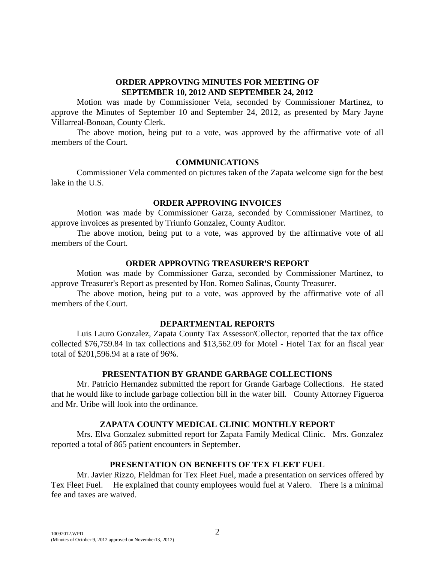# **ORDER APPROVING MINUTES FOR MEETING OF SEPTEMBER 10, 2012 AND SEPTEMBER 24, 2012**

Motion was made by Commissioner Vela, seconded by Commissioner Martinez, to approve the Minutes of September 10 and September 24, 2012, as presented by Mary Jayne Villarreal-Bonoan, County Clerk.

The above motion, being put to a vote, was approved by the affirmative vote of all members of the Court.

### **COMMUNICATIONS**

Commissioner Vela commented on pictures taken of the Zapata welcome sign for the best lake in the U.S.

### **ORDER APPROVING INVOICES**

Motion was made by Commissioner Garza, seconded by Commissioner Martinez, to approve invoices as presented by Triunfo Gonzalez, County Auditor.

The above motion, being put to a vote, was approved by the affirmative vote of all members of the Court.

# **ORDER APPROVING TREASURER'S REPORT**

Motion was made by Commissioner Garza, seconded by Commissioner Martinez, to approve Treasurer's Report as presented by Hon. Romeo Salinas, County Treasurer.

The above motion, being put to a vote, was approved by the affirmative vote of all members of the Court.

### **DEPARTMENTAL REPORTS**

Luis Lauro Gonzalez, Zapata County Tax Assessor/Collector, reported that the tax office collected \$76,759.84 in tax collections and \$13,562.09 for Motel - Hotel Tax for an fiscal year total of \$201,596.94 at a rate of 96%.

# **PRESENTATION BY GRANDE GARBAGE COLLECTIONS**

Mr. Patricio Hernandez submitted the report for Grande Garbage Collections. He stated that he would like to include garbage collection bill in the water bill. County Attorney Figueroa and Mr. Uribe will look into the ordinance.

# **ZAPATA COUNTY MEDICAL CLINIC MONTHLY REPORT**

Mrs. Elva Gonzalez submitted report for Zapata Family Medical Clinic. Mrs. Gonzalez reported a total of 865 patient encounters in September.

# **PRESENTATION ON BENEFITS OF TEX FLEET FUEL**

Mr. Javier Rizzo, Fieldman for Tex Fleet Fuel, made a presentation on services offered by Tex Fleet Fuel. He explained that county employees would fuel at Valero. There is a minimal fee and taxes are waived.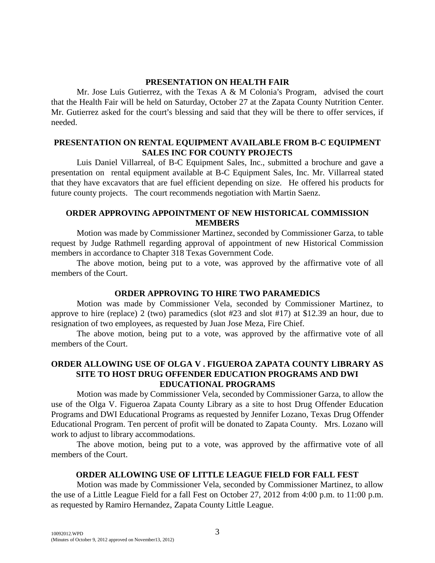# **PRESENTATION ON HEALTH FAIR**

Mr. Jose Luis Gutierrez, with the Texas A & M Colonia's Program, advised the court that the Health Fair will be held on Saturday, October 27 at the Zapata County Nutrition Center. Mr. Gutierrez asked for the court's blessing and said that they will be there to offer services, if needed.

# **PRESENTATION ON RENTAL EQUIPMENT AVAILABLE FROM B-C EQUIPMENT SALES INC FOR COUNTY PROJECTS**

Luis Daniel Villarreal, of B-C Equipment Sales, Inc., submitted a brochure and gave a presentation on rental equipment available at B-C Equipment Sales, Inc. Mr. Villarreal stated that they have excavators that are fuel efficient depending on size. He offered his products for future county projects. The court recommends negotiation with Martin Saenz.

# **ORDER APPROVING APPOINTMENT OF NEW HISTORICAL COMMISSION MEMBERS**

Motion was made by Commissioner Martinez, seconded by Commissioner Garza, to table request by Judge Rathmell regarding approval of appointment of new Historical Commission members in accordance to Chapter 318 Texas Government Code.

The above motion, being put to a vote, was approved by the affirmative vote of all members of the Court.

# **ORDER APPROVING TO HIRE TWO PARAMEDICS**

Motion was made by Commissioner Vela, seconded by Commissioner Martinez, to approve to hire (replace) 2 (two) paramedics (slot #23 and slot #17) at \$12.39 an hour, due to resignation of two employees, as requested by Juan Jose Meza, Fire Chief.

The above motion, being put to a vote, was approved by the affirmative vote of all members of the Court.

# **ORDER ALLOWING USE OF OLGA V . FIGUEROA ZAPATA COUNTY LIBRARY AS SITE TO HOST DRUG OFFENDER EDUCATION PROGRAMS AND DWI EDUCATIONAL PROGRAMS**

Motion was made by Commissioner Vela, seconded by Commissioner Garza, to allow the use of the Olga V. Figueroa Zapata County Library as a site to host Drug Offender Education Programs and DWI Educational Programs as requested by Jennifer Lozano, Texas Drug Offender Educational Program. Ten percent of profit will be donated to Zapata County. Mrs. Lozano will work to adjust to library accommodations.

The above motion, being put to a vote, was approved by the affirmative vote of all members of the Court.

# **ORDER ALLOWING USE OF LITTLE LEAGUE FIELD FOR FALL FEST**

Motion was made by Commissioner Vela, seconded by Commissioner Martinez, to allow the use of a Little League Field for a fall Fest on October 27, 2012 from 4:00 p.m. to 11:00 p.m. as requested by Ramiro Hernandez, Zapata County Little League.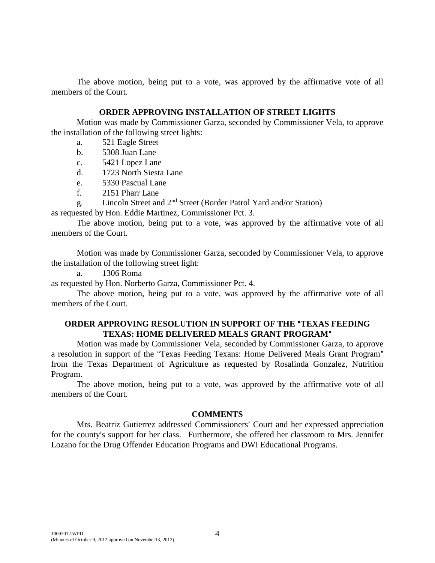The above motion, being put to a vote, was approved by the affirmative vote of all members of the Court.

#### **ORDER APPROVING INSTALLATION OF STREET LIGHTS**

Motion was made by Commissioner Garza, seconded by Commissioner Vela, to approve the installation of the following street lights:

- a. 521 Eagle Street
- b. 5308 Juan Lane
- c. 5421 Lopez Lane
- d. 1723 North Siesta Lane
- e. 5330 Pascual Lane
- f. 2151 Pharr Lane
- g. Lincoln Street and 2nd Street (Border Patrol Yard and/or Station)

as requested by Hon. Eddie Martinez, Commissioner Pct. 3.

The above motion, being put to a vote, was approved by the affirmative vote of all members of the Court.

Motion was made by Commissioner Garza, seconded by Commissioner Vela, to approve the installation of the following street light:

a. 1306 Roma

as requested by Hon. Norberto Garza, Commissioner Pct. 4.

The above motion, being put to a vote, was approved by the affirmative vote of all members of the Court.

# **ORDER APPROVING RESOLUTION IN SUPPORT OF THE "TEXAS FEEDING" TEXAS: HOME DELIVERED MEALS GRANT PROGRAM"**

Motion was made by Commissioner Vela, seconded by Commissioner Garza, to approve a resolution in support of the "Texas Feeding Texans: Home Delivered Meals Grant Program" from the Texas Department of Agriculture as requested by Rosalinda Gonzalez, Nutrition Program.

The above motion, being put to a vote, was approved by the affirmative vote of all members of the Court.

### **COMMENTS**

Mrs. Beatriz Gutierrez addressed Commissioners' Court and her expressed appreciation for the county's support for her class. Furthermore, she offered her classroom to Mrs. Jennifer Lozano for the Drug Offender Education Programs and DWI Educational Programs.